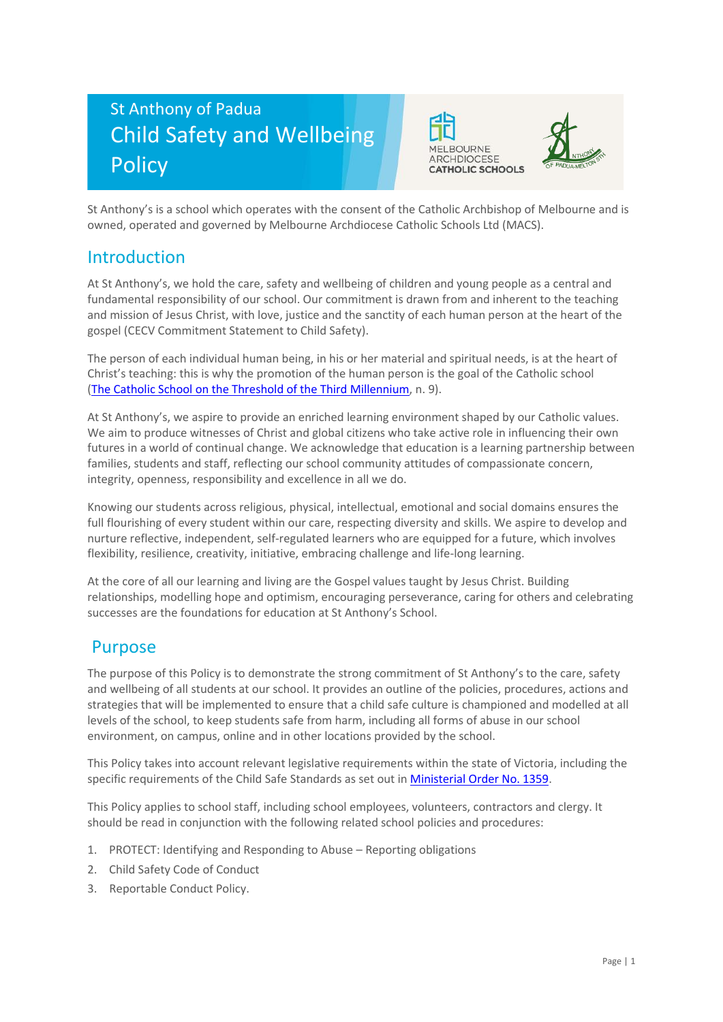# St Anthony of Padua Child Safety and Wellbeing **Policy**





St Anthony's is a school which operates with the consent of the Catholic Archbishop of Melbourne and is owned, operated and governed by Melbourne Archdiocese Catholic Schools Ltd (MACS).

### Introduction

At St Anthony's, we hold the care, safety and wellbeing of children and young people as a central and fundamental responsibility of our school. Our commitment is drawn from and inherent to the teaching and mission of Jesus Christ, with love, justice and the sanctity of each human person at the heart of the gospel (CECV Commitment Statement to Child Safety).

The person of each individual human being, in his or her material and spiritual needs, is at the heart of Christ's teaching: this is why the promotion of the human person is the goal of the Catholic school [\(The Catholic School on the Threshold of the Third Millennium,](http://www.vatican.va/roman_curia/congregations/ccatheduc/documents/rc_con_ccatheduc_doc_27041998_school2000_en.html) n. 9).

At St Anthony's, we aspire to provide an enriched learning environment shaped by our Catholic values. We aim to produce witnesses of Christ and global citizens who take active role in influencing their own futures in a world of continual change. We acknowledge that education is a learning partnership between families, students and staff, reflecting our school community attitudes of compassionate concern, integrity, openness, responsibility and excellence in all we do.

Knowing our students across religious, physical, intellectual, emotional and social domains ensures the full flourishing of every student within our care, respecting diversity and skills. We aspire to develop and nurture reflective, independent, self-regulated learners who are equipped for a future, which involves flexibility, resilience, creativity, initiative, embracing challenge and life-long learning.

At the core of all our learning and living are the Gospel values taught by Jesus Christ. Building relationships, modelling hope and optimism, encouraging perseverance, caring for others and celebrating successes are the foundations for education at St Anthony's School.

### Purpose

The purpose of this Policy is to demonstrate the strong commitment of St Anthony's to the care, safety and wellbeing of all students at our school. It provides an outline of the policies, procedures, actions and strategies that will be implemented to ensure that a child safe culture is championed and modelled at all levels of the school, to keep students safe from harm, including all forms of abuse in our school environment, on campus, online and in other locations provided by the school.

This Policy takes into account relevant legislative requirements within the state of Victoria, including the specific requirements of the Child Safe Standards as set out in [Ministerial Order No. 1359.](https://www.vrqa.vic.gov.au/Documents/MinOrder1359childsafe.pdf)

This Policy applies to school staff, including school employees, volunteers, contractors and clergy. It should be read in conjunction with the following related school policies and procedures:

- 1. PROTECT: Identifying and Responding to Abuse Reporting obligations
- 2. Child Safety Code of Conduct
- 3. Reportable Conduct Policy.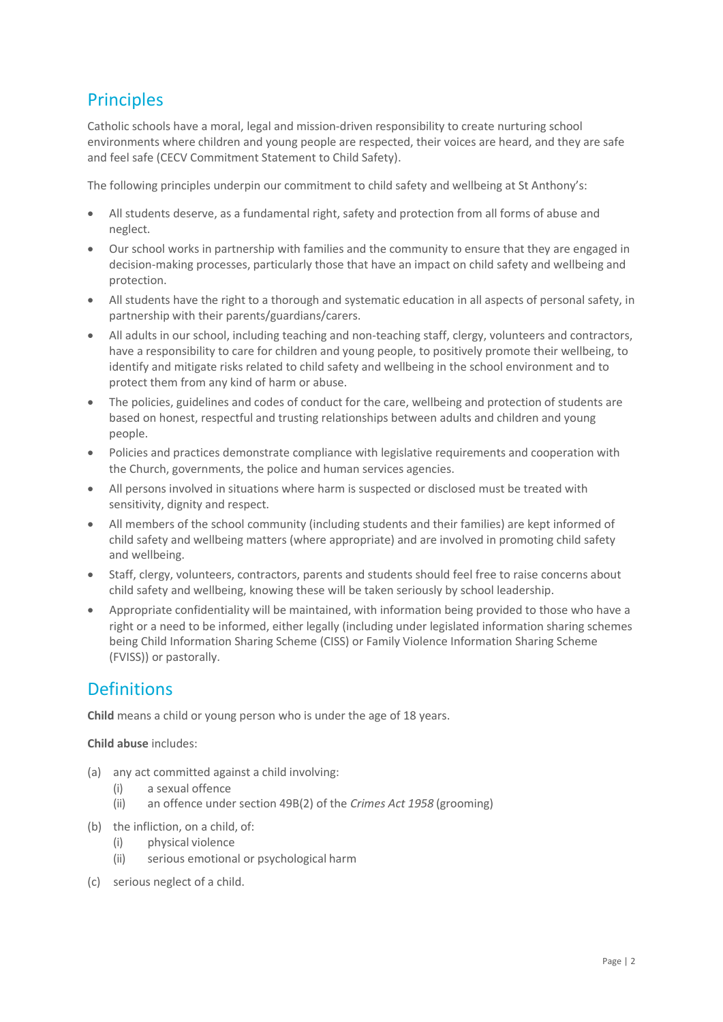# **Principles**

Catholic schools have a moral, legal and mission-driven responsibility to create nurturing school environments where children and young people are respected, their voices are heard, and they are safe and feel safe (CECV Commitment Statement to Child Safety).

The following principles underpin our commitment to child safety and wellbeing at St Anthony's:

- All students deserve, as a fundamental right, safety and protection from all forms of abuse and neglect.
- Our school works in partnership with families and the community to ensure that they are engaged in decision-making processes, particularly those that have an impact on child safety and wellbeing and protection.
- All students have the right to a thorough and systematic education in all aspects of personal safety, in partnership with their parents/guardians/carers.
- All adults in our school, including teaching and non-teaching staff, clergy, volunteers and contractors, have a responsibility to care for children and young people, to positively promote their wellbeing, to identify and mitigate risks related to child safety and wellbeing in the school environment and to protect them from any kind of harm or abuse.
- The policies, guidelines and codes of conduct for the care, wellbeing and protection of students are based on honest, respectful and trusting relationships between adults and children and young people.
- Policies and practices demonstrate compliance with legislative requirements and cooperation with the Church, governments, the police and human services agencies.
- All persons involved in situations where harm is suspected or disclosed must be treated with sensitivity, dignity and respect.
- All members of the school community (including students and their families) are kept informed of child safety and wellbeing matters (where appropriate) and are involved in promoting child safety and wellbeing.
- Staff, clergy, volunteers, contractors, parents and students should feel free to raise concerns about child safety and wellbeing, knowing these will be taken seriously by school leadership.
- Appropriate confidentiality will be maintained, with information being provided to those who have a right or a need to be informed, either legally (including under legislated information sharing schemes being Child Information Sharing Scheme (CISS) or Family Violence Information Sharing Scheme (FVISS)) or pastorally.

# Definitions

**Child** means a child or young person who is under the age of 18 years.

#### **Child abuse** includes:

- (a) any act committed against a child involving:
	- (i) a sexual offence
	- (ii) an offence under section 49B(2) of the *Crimes Act 1958* (grooming)
- (b) the infliction, on a child, of:
	- (i) physical violence
	- (ii) serious emotional or psychological harm
- (c) serious neglect of a child.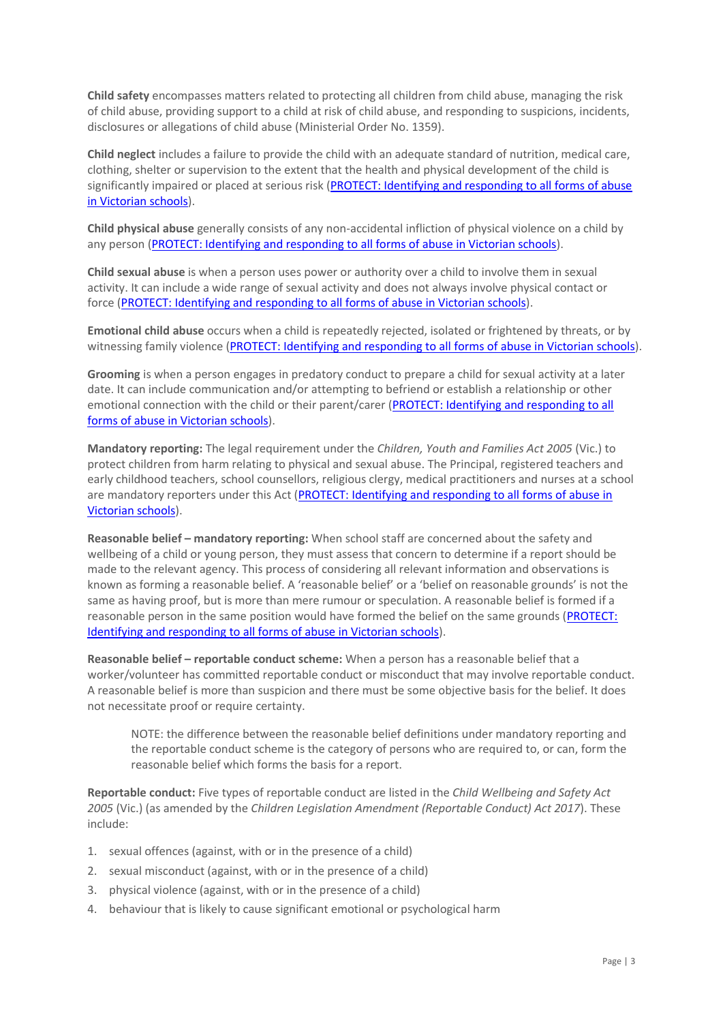**Child safety** encompasses matters related to protecting all children from child abuse, managing the risk of child abuse, providing support to a child at risk of child abuse, and responding to suspicions, incidents, disclosures or allegations of child abuse (Ministerial Order No. 1359).

**Child neglect** includes a failure to provide the child with an adequate standard of nutrition, medical care, clothing, shelter or supervision to the extent that the health and physical development of the child is significantly impaired or placed at serious risk (PROTECT: Identifying and responding to all forms of abuse [in Victorian schools\)](http://www.cecv.catholic.edu.au/getmedia/ebe135a4-d1b3-48a0-81fe-50d4fc451bcd/Identifying-and-Responding-to-All-Forms-of-Abuse.aspx#page%3D27).

**Child physical abuse** generally consists of any non-accidental infliction of physical violence on a child by any person [\(PROTECT: Identifying and responding to all forms of abuse in Victorian schools\)](https://www.cecv.catholic.edu.au/getmedia/ebe135a4-d1b3-48a0-81fe-50d4fc451bcd/Identifying-and-Responding-to-All-Forms-of-Abuse.aspx#page%3D15).

**Child sexual abuse** is when a person uses power or authority over a child to involve them in sexual activity. It can include a wide range of sexual activity and does not always involve physical contact or force [\(PROTECT: Identifying and responding to all forms of abuse in Victorian schools\)](https://www.cecv.catholic.edu.au/getmedia/ebe135a4-d1b3-48a0-81fe-50d4fc451bcd/Identifying-and-Responding-to-All-Forms-of-Abuse.aspx#page%3D17).

**Emotional child abuse** occurs when a child is repeatedly rejected, isolated or frightened by threats, or by witnessing family violence [\(PROTECT: Identifying and responding to all forms of abuse in Victorian schools\)](https://www.cecv.catholic.edu.au/getmedia/ebe135a4-d1b3-48a0-81fe-50d4fc451bcd/Identifying-and-Responding-to-All-Forms-of-Abuse.aspx#page%3D26).

**Grooming** is when a person engages in predatory conduct to prepare a child for sexual activity at a later date. It can include communication and/or attempting to befriend or establish a relationship or other emotional connection with the child or their parent/carer [\(PROTECT: Identifying and responding to all](https://www.cecv.catholic.edu.au/getmedia/ebe135a4-d1b3-48a0-81fe-50d4fc451bcd/Identifying-and-Responding-to-All-Forms-of-Abuse.aspx#page%3D20)  [forms of abuse in Victorian schools\)](https://www.cecv.catholic.edu.au/getmedia/ebe135a4-d1b3-48a0-81fe-50d4fc451bcd/Identifying-and-Responding-to-All-Forms-of-Abuse.aspx#page%3D20).

**Mandatory reporting:** The legal requirement under the *Children, Youth and Families Act 2005* (Vic.) to protect children from harm relating to physical and sexual abuse. The Principal, registered teachers and early childhood teachers, school counsellors, religious clergy, medical practitioners and nurses at a school are mandatory reporters under this Act (PROTECT: Identifying and responding to all forms of abuse in [Victorian schools\)](http://www.cecv.catholic.edu.au/getmedia/ebe135a4-d1b3-48a0-81fe-50d4fc451bcd/Identifying-and-Responding-to-All-Forms-of-Abuse.aspx#page%3D8).

**Reasonable belief – mandatory reporting:** When school staff are concerned about the safety and wellbeing of a child or young person, they must assess that concern to determine if a report should be made to the relevant agency. This process of considering all relevant information and observations is known as forming a reasonable belief. A 'reasonable belief' or a 'belief on reasonable grounds' is not the same as having proof, but is more than mere rumour or speculation. A reasonable belief is formed if a reasonable person in the same position would have formed the belief on the same grounds [\(PROTECT:](http://www.cecv.catholic.edu.au/getmedia/ebe135a4-d1b3-48a0-81fe-50d4fc451bcd/Identifying-and-Responding-to-All-Forms-of-Abuse.aspx#page%3D35)  [Identifying and responding to all forms of abuse in Victorian schools\)](http://www.cecv.catholic.edu.au/getmedia/ebe135a4-d1b3-48a0-81fe-50d4fc451bcd/Identifying-and-Responding-to-All-Forms-of-Abuse.aspx#page%3D35).

**Reasonable belief – reportable conduct scheme:** When a person has a reasonable belief that a worker/volunteer has committed reportable conduct or misconduct that may involve reportable conduct. A reasonable belief is more than suspicion and there must be some objective basis for the belief. It does not necessitate proof or require certainty.

NOTE: the difference between the reasonable belief definitions under mandatory reporting and the reportable conduct scheme is the category of persons who are required to, or can, form the reasonable belief which forms the basis for a report.

**Reportable conduct:** Five types of reportable conduct are listed in the *Child Wellbeing and Safety Act 2005* (Vic.) (as amended by the *Children Legislation Amendment (Reportable Conduct) Act 2017*). These include:

- 1. sexual offences (against, with or in the presence of a child)
- 2. sexual misconduct (against, with or in the presence of a child)
- 3. physical violence (against, with or in the presence of a child)
- 4. behaviour that is likely to cause significant emotional or psychological harm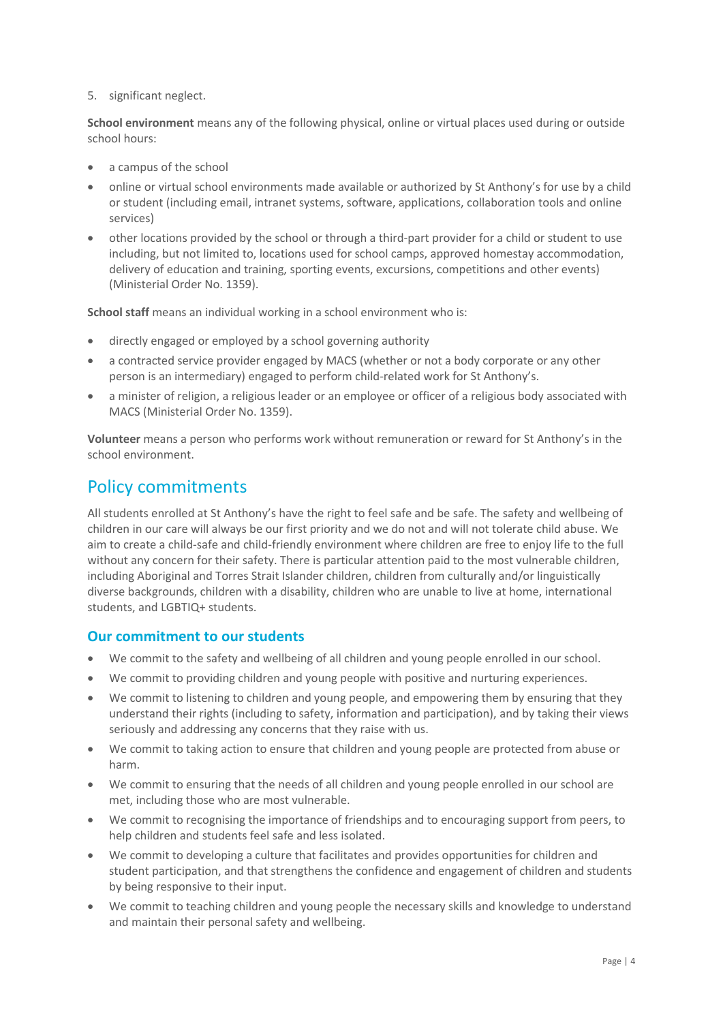#### 5. significant neglect.

**School environment** means any of the following physical, online or virtual places used during or outside school hours:

- a campus of the school
- online or virtual school environments made available or authorized by St Anthony's for use by a child or student (including email, intranet systems, software, applications, collaboration tools and online services)
- other locations provided by the school or through a third-part provider for a child or student to use including, but not limited to, locations used for school camps, approved homestay accommodation, delivery of education and training, sporting events, excursions, competitions and other events) (Ministerial Order No. 1359).

**School staff** means an individual working in a school environment who is:

- directly engaged or employed by a school governing authority
- a contracted service provider engaged by MACS (whether or not a body corporate or any other person is an intermediary) engaged to perform child-related work for St Anthony's.
- a minister of religion, a religious leader or an employee or officer of a religious body associated with MACS (Ministerial Order No. 1359).

**Volunteer** means a person who performs work without remuneration or reward for St Anthony's in the school environment.

### Policy commitments

All students enrolled at St Anthony's have the right to feel safe and be safe. The safety and wellbeing of children in our care will always be our first priority and we do not and will not tolerate child abuse. We aim to create a child-safe and child-friendly environment where children are free to enjoy life to the full without any concern for their safety. There is particular attention paid to the most vulnerable children, including Aboriginal and Torres Strait Islander children, children from culturally and/or linguistically diverse backgrounds, children with a disability, children who are unable to live at home, international students, and LGBTIQ+ students.

#### **Our commitment to our students**

- We commit to the safety and wellbeing of all children and young people enrolled in our school.
- We commit to providing children and young people with positive and nurturing experiences.
- We commit to listening to children and young people, and empowering them by ensuring that they understand their rights (including to safety, information and participation), and by taking their views seriously and addressing any concerns that they raise with us.
- We commit to taking action to ensure that children and young people are protected from abuse or harm.
- We commit to ensuring that the needs of all children and young people enrolled in our school are met, including those who are most vulnerable.
- We commit to recognising the importance of friendships and to encouraging support from peers, to help children and students feel safe and less isolated.
- We commit to developing a culture that facilitates and provides opportunities for children and student participation, and that strengthens the confidence and engagement of children and students by being responsive to their input.
- We commit to teaching children and young people the necessary skills and knowledge to understand and maintain their personal safety and wellbeing.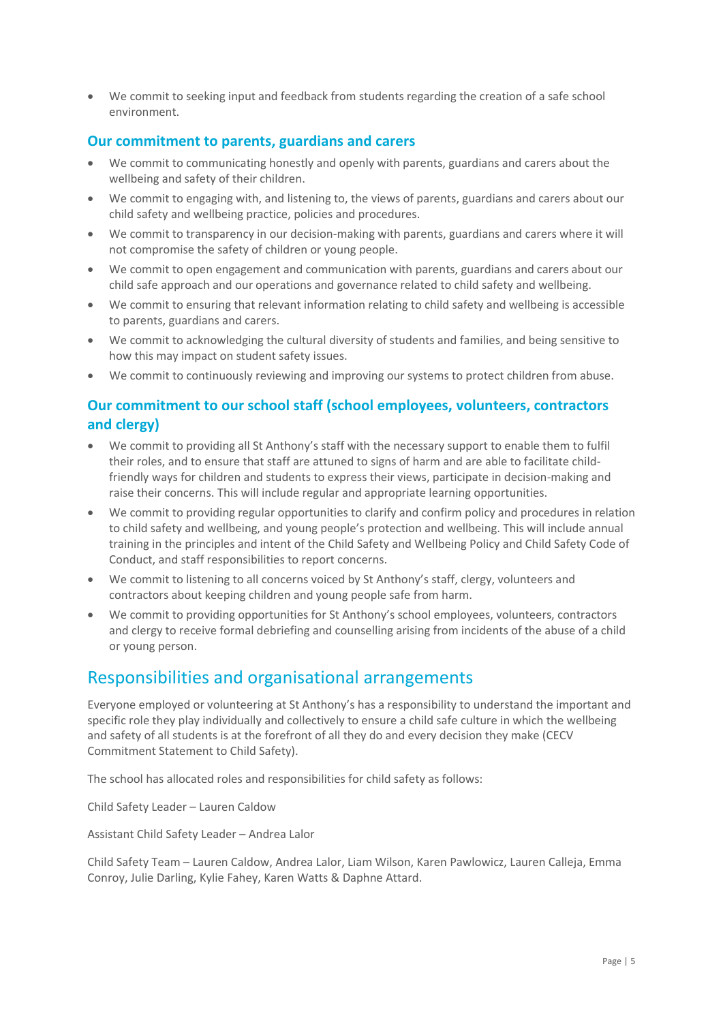• We commit to seeking input and feedback from students regarding the creation of a safe school environment.

#### **Our commitment to parents, guardians and carers**

- We commit to communicating honestly and openly with parents, guardians and carers about the wellbeing and safety of their children.
- We commit to engaging with, and listening to, the views of parents, guardians and carers about our child safety and wellbeing practice, policies and procedures.
- We commit to transparency in our decision-making with parents, guardians and carers where it will not compromise the safety of children or young people.
- We commit to open engagement and communication with parents, guardians and carers about our child safe approach and our operations and governance related to child safety and wellbeing.
- We commit to ensuring that relevant information relating to child safety and wellbeing is accessible to parents, guardians and carers.
- We commit to acknowledging the cultural diversity of students and families, and being sensitive to how this may impact on student safety issues.
- We commit to continuously reviewing and improving our systems to protect children from abuse.

### **Our commitment to our school staff (school employees, volunteers, contractors and clergy)**

- We commit to providing all St Anthony's staff with the necessary support to enable them to fulfil their roles, and to ensure that staff are attuned to signs of harm and are able to facilitate childfriendly ways for children and students to express their views, participate in decision-making and raise their concerns. This will include regular and appropriate learning opportunities.
- We commit to providing regular opportunities to clarify and confirm policy and procedures in relation to child safety and wellbeing, and young people's protection and wellbeing. This will include annual training in the principles and intent of the Child Safety and Wellbeing Policy and Child Safety Code of Conduct, and staff responsibilities to report concerns.
- We commit to listening to all concerns voiced by St Anthony's staff, clergy, volunteers and contractors about keeping children and young people safe from harm.
- We commit to providing opportunities for St Anthony's school employees, volunteers, contractors and clergy to receive formal debriefing and counselling arising from incidents of the abuse of a child or young person.

### Responsibilities and organisational arrangements

Everyone employed or volunteering at St Anthony's has a responsibility to understand the important and specific role they play individually and collectively to ensure a child safe culture in which the wellbeing and safety of all students is at the forefront of all they do and every decision they make (CECV Commitment Statement to Child Safety).

The school has allocated roles and responsibilities for child safety as follows:

Child Safety Leader – Lauren Caldow

Assistant Child Safety Leader – Andrea Lalor

Child Safety Team – Lauren Caldow, Andrea Lalor, Liam Wilson, Karen Pawlowicz, Lauren Calleja, Emma Conroy, Julie Darling, Kylie Fahey, Karen Watts & Daphne Attard.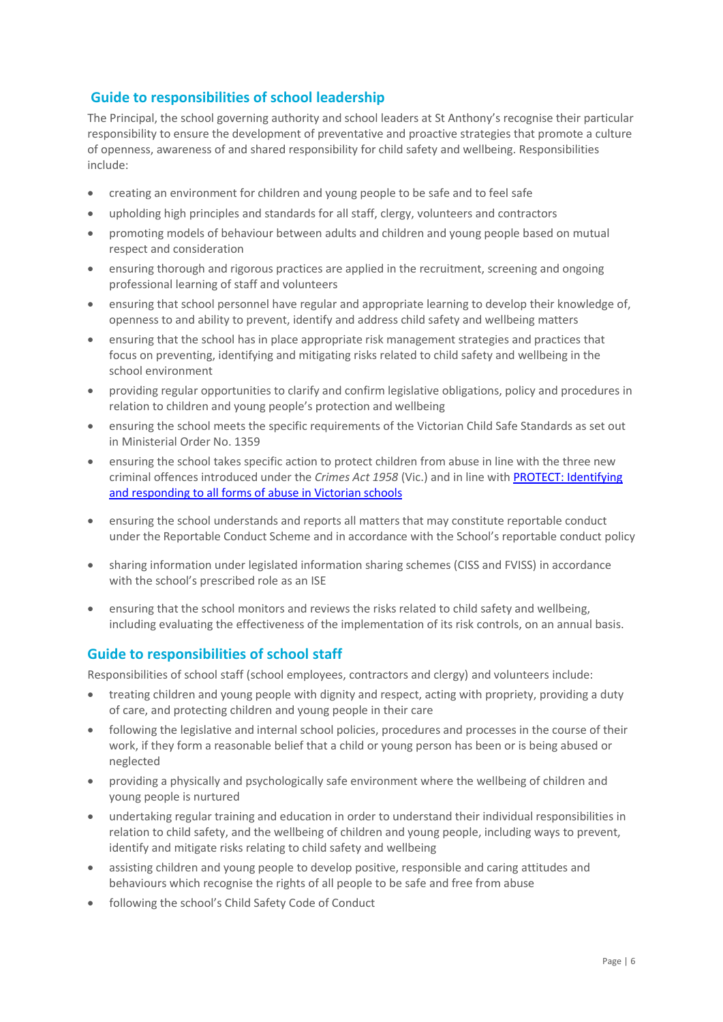### **Guide to responsibilities of school leadership**

The Principal, the school governing authority and school leaders at St Anthony's recognise their particular responsibility to ensure the development of preventative and proactive strategies that promote a culture of openness, awareness of and shared responsibility for child safety and wellbeing. Responsibilities include:

- creating an environment for children and young people to be safe and to feel safe
- upholding high principles and standards for all staff, clergy, volunteers and contractors
- promoting models of behaviour between adults and children and young people based on mutual respect and consideration
- ensuring thorough and rigorous practices are applied in the recruitment, screening and ongoing professional learning of staff and volunteers
- ensuring that school personnel have regular and appropriate learning to develop their knowledge of, openness to and ability to prevent, identify and address child safety and wellbeing matters
- ensuring that the school has in place appropriate risk management strategies and practices that focus on preventing, identifying and mitigating risks related to child safety and wellbeing in the school environment
- providing regular opportunities to clarify and confirm legislative obligations, policy and procedures in relation to children and young people's protection and wellbeing
- ensuring the school meets the specific requirements of the Victorian Child Safe Standards as set out in Ministerial Order No. 1359
- ensuring the school takes specific action to protect children from abuse in line with the three new criminal offences introduced under the *Crimes Act 1958* (Vic.) and in line wit[h PROTECT: Identifying](http://www.cecv.catholic.edu.au/getmedia/ebe135a4-d1b3-48a0-81fe-50d4fc451bcd/Identifying-and-Responding-to-All-Forms-of-Abuse.aspx)  [and responding to all forms of abuse in Victorian schools](http://www.cecv.catholic.edu.au/getmedia/ebe135a4-d1b3-48a0-81fe-50d4fc451bcd/Identifying-and-Responding-to-All-Forms-of-Abuse.aspx)
- ensuring the school understands and reports all matters that may constitute reportable conduct under the Reportable Conduct Scheme and in accordance with the School's reportable conduct policy
- sharing information under legislated information sharing schemes (CISS and FVISS) in accordance with the school's prescribed role as an ISF
- ensuring that the school monitors and reviews the risks related to child safety and wellbeing, including evaluating the effectiveness of the implementation of its risk controls, on an annual basis.

#### **Guide to responsibilities of school staff**

Responsibilities of school staff (school employees, contractors and clergy) and volunteers include:

- treating children and young people with dignity and respect, acting with propriety, providing a duty of care, and protecting children and young people in their care
- following the legislative and internal school policies, procedures and processes in the course of their work, if they form a reasonable belief that a child or young person has been or is being abused or neglected
- providing a physically and psychologically safe environment where the wellbeing of children and young people is nurtured
- undertaking regular training and education in order to understand their individual responsibilities in relation to child safety, and the wellbeing of children and young people, including ways to prevent, identify and mitigate risks relating to child safety and wellbeing
- assisting children and young people to develop positive, responsible and caring attitudes and behaviours which recognise the rights of all people to be safe and free from abuse
- following the school's Child Safety Code of Conduct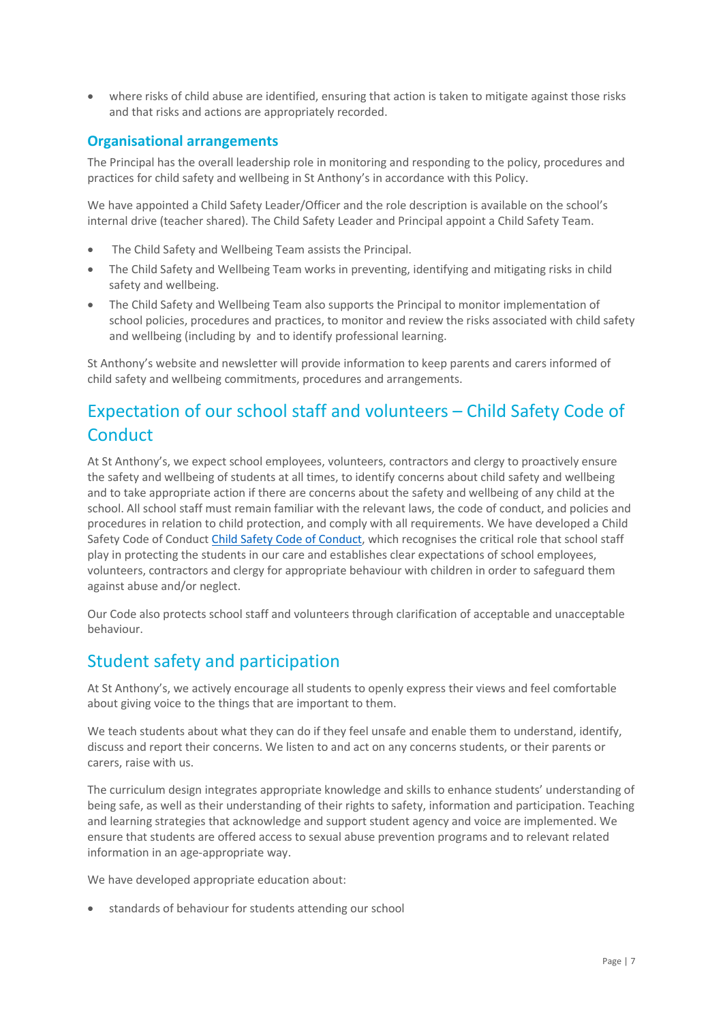• where risks of child abuse are identified, ensuring that action is taken to mitigate against those risks and that risks and actions are appropriately recorded.

#### **Organisational arrangements**

The Principal has the overall leadership role in monitoring and responding to the policy, procedures and practices for child safety and wellbeing in St Anthony's in accordance with this Policy.

We have appointed a Child Safety Leader/Officer and the role description is available on the school's internal drive (teacher shared). The Child Safety Leader and Principal appoint a Child Safety Team.

- The Child Safety and Wellbeing Team assists the Principal.
- The Child Safety and Wellbeing Team works in preventing, identifying and mitigating risks in child safety and wellbeing.
- The Child Safety and Wellbeing Team also supports the Principal to monitor implementation of school policies, procedures and practices, to monitor and review the risks associated with child safety and wellbeing (including by and to identify professional learning.

St Anthony's website and newsletter will provide information to keep parents and carers informed of child safety and wellbeing commitments, procedures and arrangements.

# Expectation of our school staff and volunteers – Child Safety Code of **Conduct**

At St Anthony's, we expect school employees, volunteers, contractors and clergy to proactively ensure the safety and wellbeing of students at all times, to identify concerns about child safety and wellbeing and to take appropriate action if there are concerns about the safety and wellbeing of any child at the school. All school staff must remain familiar with the relevant laws, the code of conduct, and policies and procedures in relation to child protection, and comply with all requirements. We have developed a Child Safety Code of Conduct [Child Safety Code of Conduct,](https://www.sameltonsth.catholic.edu.au/resource/st-anthonys-child-safety-code-of-conduct/) which recognises the critical role that school staff play in protecting the students in our care and establishes clear expectations of school employees, volunteers, contractors and clergy for appropriate behaviour with children in order to safeguard them against abuse and/or neglect.

Our Code also protects school staff and volunteers through clarification of acceptable and unacceptable behaviour.

# Student safety and participation

At St Anthony's, we actively encourage all students to openly express their views and feel comfortable about giving voice to the things that are important to them.

We teach students about what they can do if they feel unsafe and enable them to understand, identify, discuss and report their concerns. We listen to and act on any concerns students, or their parents or carers, raise with us.

The curriculum design integrates appropriate knowledge and skills to enhance students' understanding of being safe, as well as their understanding of their rights to safety, information and participation. Teaching and learning strategies that acknowledge and support student agency and voice are implemented. We ensure that students are offered access to sexual abuse prevention programs and to relevant related information in an age-appropriate way.

We have developed appropriate education about:

• standards of behaviour for students attending our school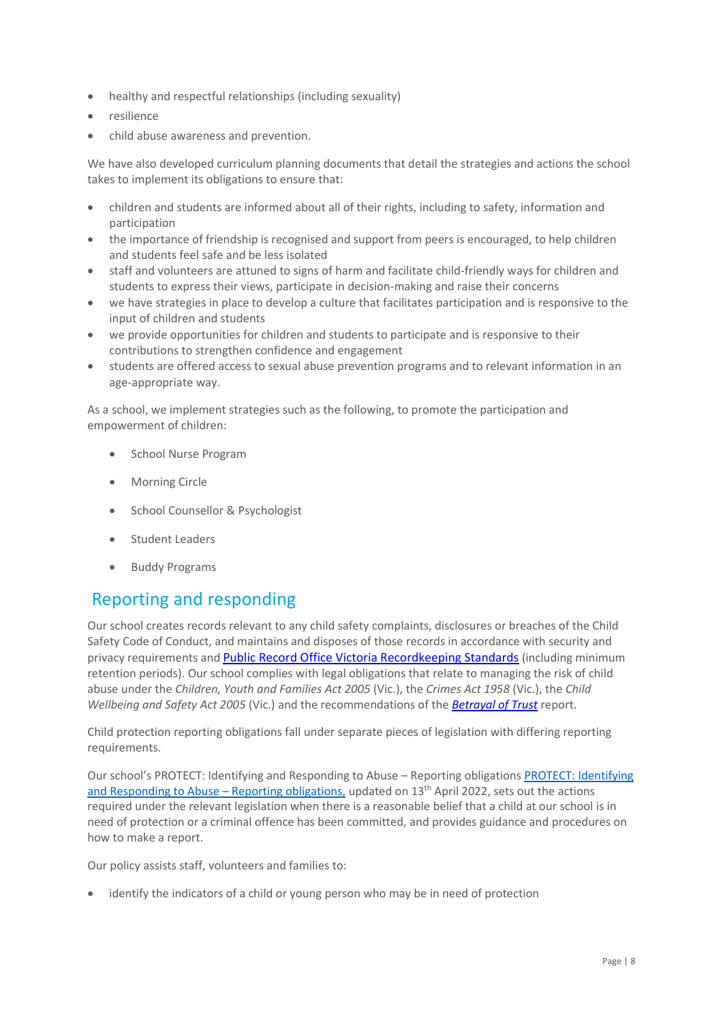- healthy and respectful relationships (including sexuality)
- resilience
- child abuse awareness and prevention.

We have also developed curriculum planning documents that detail the strategies and actions the school takes to implement its obligations to ensure that:

- children and students are informed about all of their rights, including to safety, information and participation
- the importance of friendship is recognised and support from peers is encouraged, to help children and students feel safe and be less isolated
- staff and volunteers are attuned to signs of harm and facilitate child-friendly ways for children and students to express their views, participate in decision-making and raise their concerns
- we have strategies in place to develop a culture that facilitates participation and is responsive to the input of children and students
- we provide opportunities for children and students to participate and is responsive to their contributions to strengthen confidence and engagement
- students are offered access to sexual abuse prevention programs and to relevant information in an age-appropriate way.

As a school, we implement strategies such as the following, to promote the participation and empowerment of children:

- School Nurse Program
- Morning Circle
- School Counsellor & Psychologist
- Student Leaders
- Buddy Programs

### Reporting and responding

Our school creates records relevant to any child safety complaints, disclosures or breaches of the Child Safety Code of Conduct, and maintains and disposes of those records in accordance with security and privacy requirements and [Public Record Office Victoria Recordkeeping Standards](https://prov.vic.gov.au/sites/default/files/files/documents/1906v1.0.pdf) (including minimum retention periods). Our school complies with legal obligations that relate to managing the risk of child abuse under the *Children, Youth and Families Act 2005* (Vic.), the *Crimes Act 1958* (Vic.), the *Child Wellbeing and Safety Act 2005* (Vic.) and the recommendations of the *[Betrayal of Trust](http://www.parliament.vic.gov.au/fcdc/article/1788)* report.

Child protection reporting obligations fall under separate pieces of legislation with differing reporting requirements.

Our school's [PROTECT: Identifying](https://www.sameltonsth.catholic.edu.au/resource/st-anthonys-protect-identifying-and-responding-to-abuse-reporting-obligations/) and Responding to Abuse - Reporting obligations PROTECT: Identifying [and Responding to Abuse](https://www.sameltonsth.catholic.edu.au/resource/st-anthonys-protect-identifying-and-responding-to-abuse-reporting-obligations/) – Reporting obligations, updated on 13<sup>th</sup> April 2022, sets out the actions required under the relevant legislation when there is a reasonable belief that a child at our school is in need of protection or a criminal offence has been committed, and provides guidance and procedures on how to make a report.

Our policy assists staff, volunteers and families to:

• identify the indicators of a child or young person who may be in need of protection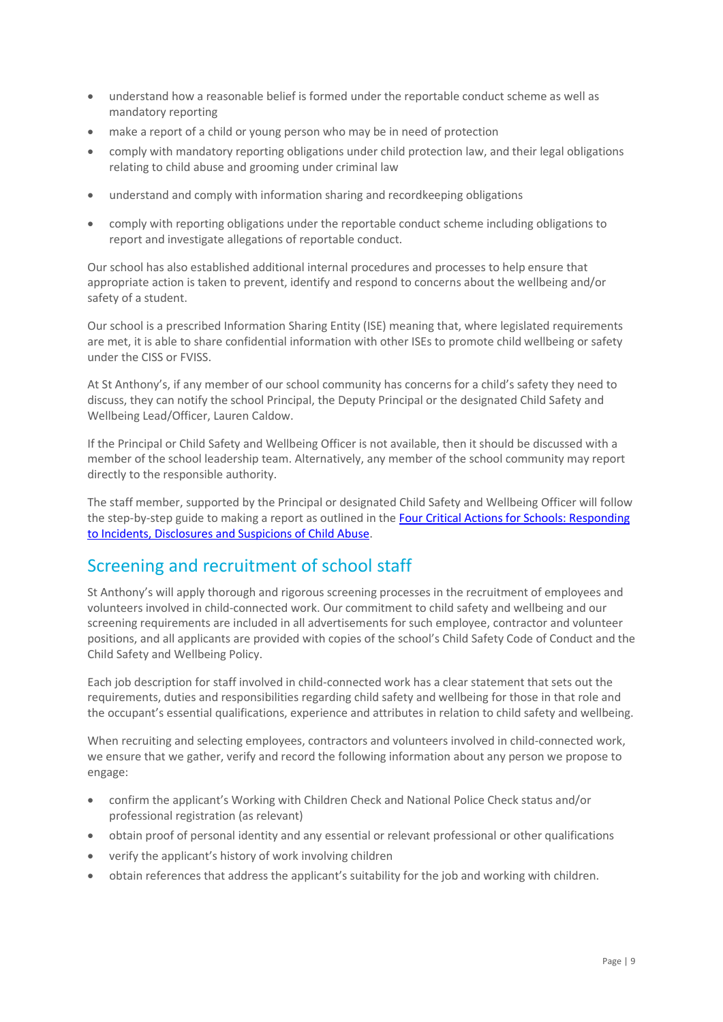- understand how a reasonable belief is formed under the reportable conduct scheme as well as mandatory reporting
- make a report of a child or young person who may be in need of protection
- comply with mandatory reporting obligations under child protection law, and their legal obligations relating to child abuse and grooming under criminal law
- understand and comply with information sharing and recordkeeping obligations
- comply with reporting obligations under the reportable conduct scheme including obligations to report and investigate allegations of reportable conduct.

Our school has also established additional internal procedures and processes to help ensure that appropriate action is taken to prevent, identify and respond to concerns about the wellbeing and/or safety of a student.

Our school is a prescribed Information Sharing Entity (ISE) meaning that, where legislated requirements are met, it is able to share confidential information with other ISEs to promote child wellbeing or safety under the CISS or FVISS.

At St Anthony's, if any member of our school community has concerns for a child's safety they need to discuss, they can notify the school Principal, the Deputy Principal or the designated Child Safety and Wellbeing Lead/Officer, Lauren Caldow.

If the Principal or Child Safety and Wellbeing Officer is not available, then it should be discussed with a member of the school leadership team. Alternatively, any member of the school community may report directly to the responsible authority.

The staff member, supported by the Principal or designated Child Safety and Wellbeing Officer will follow the step-by-step guide to making a report as outlined in th[e Four Critical Actions for Schools: Responding](https://www.education.vic.gov.au/Documents/about/programs/health/protect/FourCriticalActions_ChildAbuse.pdf)  [to Incidents, Disclosures and Suspicions of Child Abuse.](https://www.education.vic.gov.au/Documents/about/programs/health/protect/FourCriticalActions_ChildAbuse.pdf)

# Screening and recruitment of school staff

St Anthony's will apply thorough and rigorous screening processes in the recruitment of employees and volunteers involved in child-connected work. Our commitment to child safety and wellbeing and our screening requirements are included in all advertisements for such employee, contractor and volunteer positions, and all applicants are provided with copies of the school's Child Safety Code of Conduct and the Child Safety and Wellbeing Policy.

Each job description for staff involved in child-connected work has a clear statement that sets out the requirements, duties and responsibilities regarding child safety and wellbeing for those in that role and the occupant's essential qualifications, experience and attributes in relation to child safety and wellbeing.

When recruiting and selecting employees, contractors and volunteers involved in child-connected work, we ensure that we gather, verify and record the following information about any person we propose to engage:

- confirm the applicant's Working with Children Check and National Police Check status and/or professional registration (as relevant)
- obtain proof of personal identity and any essential or relevant professional or other qualifications
- verify the applicant's history of work involving children
- obtain references that address the applicant's suitability for the job and working with children.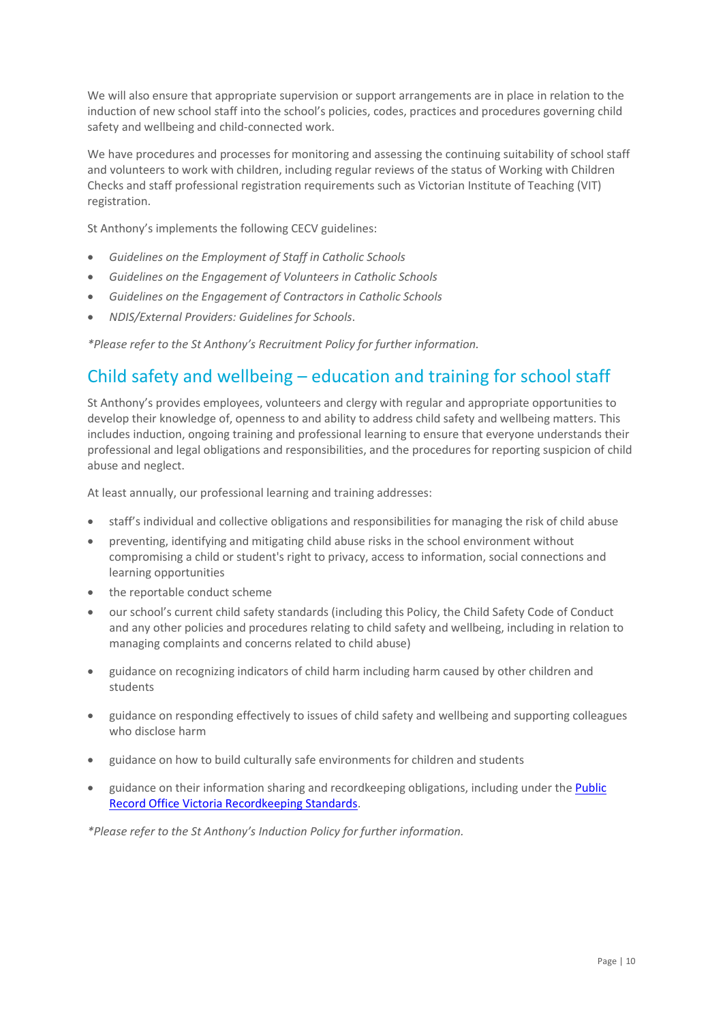We will also ensure that appropriate supervision or support arrangements are in place in relation to the induction of new school staff into the school's policies, codes, practices and procedures governing child safety and wellbeing and child-connected work.

We have procedures and processes for monitoring and assessing the continuing suitability of school staff and volunteers to work with children, including regular reviews of the status of Working with Children Checks and staff professional registration requirements such as Victorian Institute of Teaching (VIT) registration.

St Anthony's implements the following CECV guidelines:

- *Guidelines on the Employment of Staff in Catholic Schools*
- *Guidelines on the Engagement of Volunteers in Catholic Schools*
- *Guidelines on the Engagement of Contractors in Catholic Schools*
- *NDIS/External Providers: Guidelines for Schools*.

*\*Please refer to the St Anthony's Recruitment Policy for further information.* 

### Child safety and wellbeing – education and training for school staff

St Anthony's provides employees, volunteers and clergy with regular and appropriate opportunities to develop their knowledge of, openness to and ability to address child safety and wellbeing matters. This includes induction, ongoing training and professional learning to ensure that everyone understands their professional and legal obligations and responsibilities, and the procedures for reporting suspicion of child abuse and neglect.

At least annually, our professional learning and training addresses:

- staff's individual and collective obligations and responsibilities for managing the risk of child abuse
- preventing, identifying and mitigating child abuse risks in the school environment without compromising a child or student's right to privacy, access to information, social connections and learning opportunities
- the reportable conduct scheme
- our school's current child safety standards (including this Policy, the Child Safety Code of Conduct and any other policies and procedures relating to child safety and wellbeing, including in relation to managing complaints and concerns related to child abuse)
- guidance on recognizing indicators of child harm including harm caused by other children and students
- guidance on responding effectively to issues of child safety and wellbeing and supporting colleagues who disclose harm
- guidance on how to build culturally safe environments for children and students
- guidance on their information sharing and recordkeeping obligations, including under th[e Public](https://prov.vic.gov.au/sites/default/files/files/documents/1906v1.0.pdf)  [Record Office Victoria Recordkeeping Standards.](https://prov.vic.gov.au/sites/default/files/files/documents/1906v1.0.pdf)

*\*Please refer to the St Anthony's Induction Policy for further information.*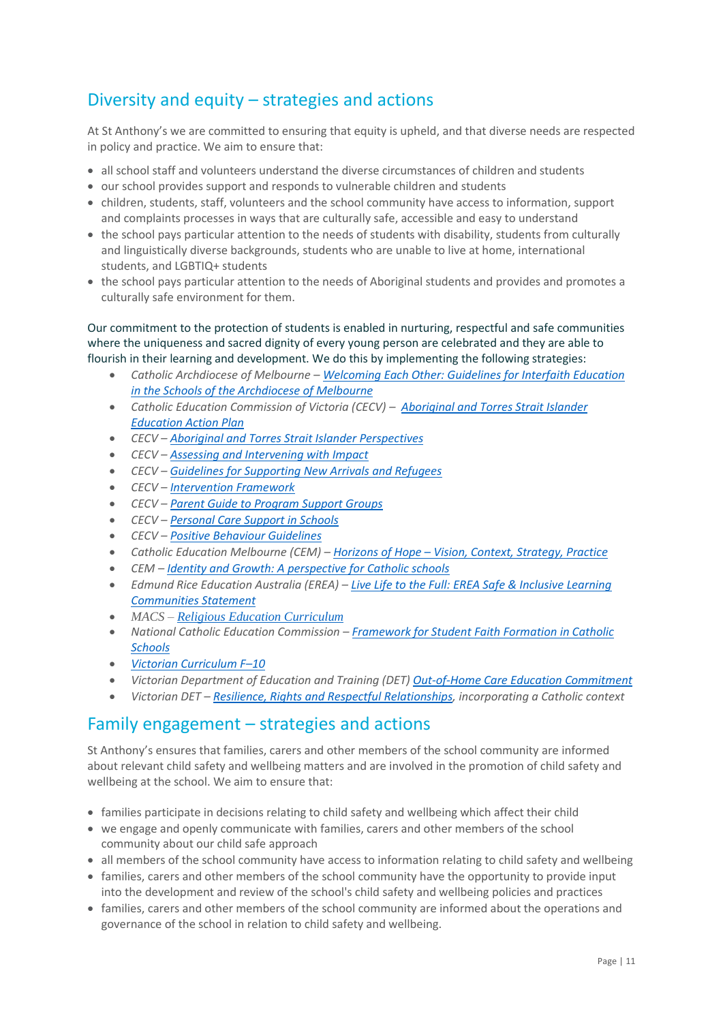# Diversity and equity – strategies and actions

At St Anthony's we are committed to ensuring that equity is upheld, and that diverse needs are respected in policy and practice. We aim to ensure that:

- all school staff and volunteers understand the diverse circumstances of children and students
- our school provides support and responds to vulnerable children and students
- children, students, staff, volunteers and the school community have access to information, support and complaints processes in ways that are culturally safe, accessible and easy to understand
- the school pays particular attention to the needs of students with disability, students from culturally and linguistically diverse backgrounds, students who are unable to live at home, international students, and LGBTIQ+ students
- the school pays particular attention to the needs of Aboriginal students and provides and promotes a culturally safe environment for them.

Our commitment to the protection of students is enabled in nurturing, respectful and safe communities where the uniqueness and sacred dignity of every young person are celebrated and they are able to flourish in their learning and development. We do this by implementing the following strategies:

- *Catholic Archdiocese of Melbourne – [Welcoming Each Other: Guidelines for Interfaith Education](http://www.cam1.org.au/eic/welcoming/index.html)  [in the Schools of the Archdiocese of Melbourne](http://www.cam1.org.au/eic/welcoming/index.html)*
- *Catholic Education Commission of Victoria (CECV) – [Aboriginal and Torres Strait Islander](https://www.cecv.catholic.edu.au/getmedia/bd494d6a-2d58-4f9b-94a2-85f3ab75e7ea/CECV-Aboriginal-and-Torres-Strait-Islander-Education-Action-Plan.aspx?ext=.pdf)  [Education Action Plan](https://www.cecv.catholic.edu.au/getmedia/bd494d6a-2d58-4f9b-94a2-85f3ab75e7ea/CECV-Aboriginal-and-Torres-Strait-Islander-Education-Action-Plan.aspx?ext=.pdf)*
- *CECV – [Aboriginal and Torres Strait Islander Perspectives](https://cevn.cecv.catholic.edu.au/Melb/Student-Support/Cultural-Diversity/ATSI-perspectives)*
- *CECV – [Assessing and Intervening with Impact](https://cevn.cecv.catholic.edu.au/Melb/Document-File/Students-Support/Practices/Assessing-and-intervening-with-impact)*
- *CECV – [Guidelines for Supporting New Arrivals and Refugees](https://www.cecv.catholic.edu.au/getmedia/b1a8935d-5f90-45e6-bb28-828e23c83366/CECV-Guidelines-for-New-Arrivals-and-Refugees-2020-2022.aspx?ext=.pdf)*
- *CECV – [Intervention Framework](https://www.cecv.catholic.edu.au/getmedia/757e80aa-1c1a-4510-8d8a-f1ca72a92adb/CECV-Intervention-Framework-2021-overview.aspx?ext=.pdf)*
- *CECV – [Parent Guide to Program Support Groups](https://www.cecv.catholic.edu.au/getmedia/8067c3e8-72f0-402c-9b78-60450b06c689/Parent-Guide-to-Program-Support-Groups.aspx?ext=.pdf)*
- *CECV – [Personal Care Support in Schools](https://www.cecv.catholic.edu.au/getmedia/56a1892e-fc3f-45f8-b057-daa8dd462dfd/CECV-Personal-Care-Support-in-Schools.aspx?ext=.pdf)*
- *CECV – [Positive Behaviour Guidelines](https://www.cecv.catholic.edu.au/getmedia/bc1d235d-9a98-4bb4-b3ac-84b50fa7c639/CECV-Positive-Behaviour-Guidelines_FINAL2.aspx?ext=.pdf)*
- *Catholic Education Melbourne (CEM) – Horizons of Hope – [Vision, Context, Strategy, Practice](https://cevn.cecv.catholic.edu.au/Melb/Curriculum/Horizons-of-Hope)*
- *CEM – [Identity and Growth: A perspective for Catholic schools](https://cevn.cecv.catholic.edu.au/Melb/MI/Identity-Growth)*
- *Edmund Rice Education Australia (EREA) – [Live Life to the Full: EREA Safe & Inclusive Learning](https://www.erea.edu.au/wp-content/uploads/2020/09/Safe_and_inclusive_Resource.pdf)  [Communities Statement](https://www.erea.edu.au/wp-content/uploads/2020/09/Safe_and_inclusive_Resource.pdf)*
- *MACS – [Religious Education Curriculum](https://resource-macs.com/)*
- *National Catholic Education Commission – Framework for [Student Faith Formation in Catholic](https://www.ncec.catholic.edu.au/doclink/student-faith-formation-in-catholic-schools-february-2022/eyJ0eXAiOiJKV1QiLCJhbGciOiJIUzI1NiJ9.eyJzdWIiOiJzdHVkZW50LWZhaXRoLWZvcm1hdGlvbi1pbi1jYXRob2xpYy1zY2hvb2xzLWZlYnJ1YXJ5LTIwMjIiLCJpYXQiOjE2NDQyNzM3NTYsImV4cCI6MTY0NDM2MDE1Nn0.jGLDyhU7PGuIaDiSI4Pv5ODo78qVCxDaI9e5o0m7CVg)  [Schools](https://www.ncec.catholic.edu.au/doclink/student-faith-formation-in-catholic-schools-february-2022/eyJ0eXAiOiJKV1QiLCJhbGciOiJIUzI1NiJ9.eyJzdWIiOiJzdHVkZW50LWZhaXRoLWZvcm1hdGlvbi1pbi1jYXRob2xpYy1zY2hvb2xzLWZlYnJ1YXJ5LTIwMjIiLCJpYXQiOjE2NDQyNzM3NTYsImV4cCI6MTY0NDM2MDE1Nn0.jGLDyhU7PGuIaDiSI4Pv5ODo78qVCxDaI9e5o0m7CVg)*
- *[Victorian Curriculum F](https://victoriancurriculum.vcaa.vic.edu.au/)–10*
- *Victorian Department of Education and Training (DET) [Out-of-Home Care Education Commitment](https://www.cecv.catholic.edu.au/getmedia/11631bac-6208-4324-887e-0aca88189126/OoHC-Education-Commitment.aspx?ext=.pdf)*
- *Victorian DET – [Resilience, Rights and Respectful Relationships,](https://fuse.education.vic.gov.au/ResourcePackage/ByPin?pin=2JZX4R) incorporating a Catholic context*

### Family engagement – strategies and actions

St Anthony's ensures that families, carers and other members of the school community are informed about relevant child safety and wellbeing matters and are involved in the promotion of child safety and wellbeing at the school. We aim to ensure that:

- families participate in decisions relating to child safety and wellbeing which affect their child
- we engage and openly communicate with families, carers and other members of the school community about our child safe approach
- all members of the school community have access to information relating to child safety and wellbeing
- families, carers and other members of the school community have the opportunity to provide input into the development and review of the school's child safety and wellbeing policies and practices
- families, carers and other members of the school community are informed about the operations and governance of the school in relation to child safety and wellbeing.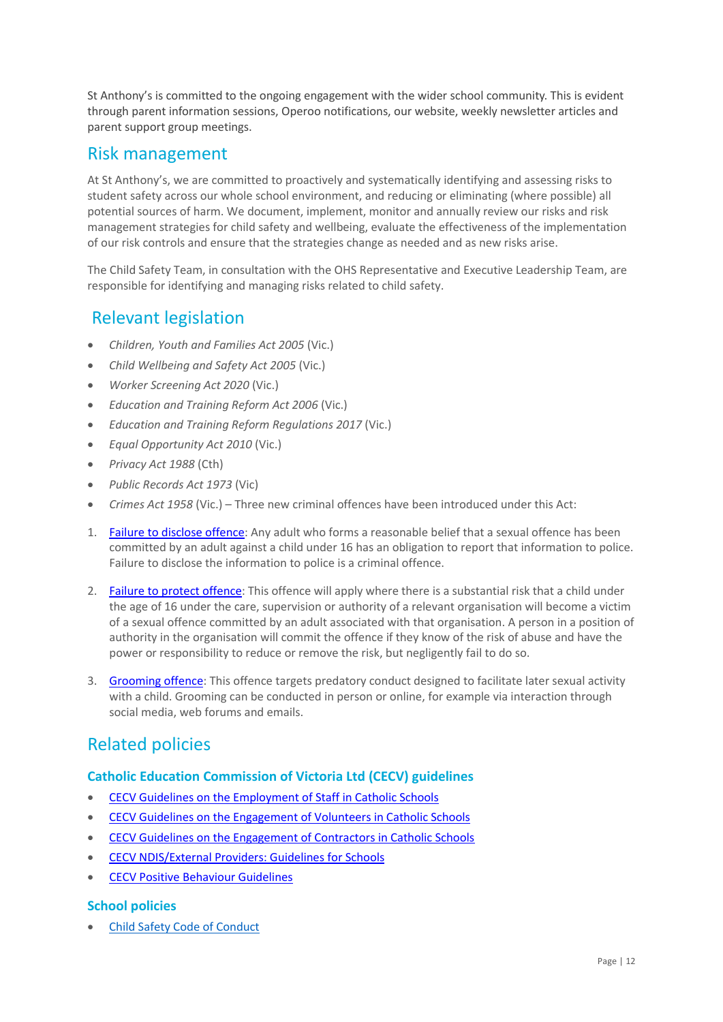St Anthony's is committed to the ongoing engagement with the wider school community. This is evident through parent information sessions, Operoo notifications, our website, weekly newsletter articles and parent support group meetings.

### Risk management

At St Anthony's, we are committed to proactively and systematically identifying and assessing risks to student safety across our whole school environment, and reducing or eliminating (where possible) all potential sources of harm. We document, implement, monitor and annually review our risks and risk management strategies for child safety and wellbeing, evaluate the effectiveness of the implementation of our risk controls and ensure that the strategies change as needed and as new risks arise.

The Child Safety Team, in consultation with the OHS Representative and Executive Leadership Team, are responsible for identifying and managing risks related to child safety.

### Relevant legislation

- *Children, Youth and Families Act 2005* (Vic.)
- *Child Wellbeing and Safety Act 2005* (Vic.)
- *Worker Screening Act 2020* (Vic.)
- *Education and Training Reform Act 2006* (Vic.)
- *Education and Training Reform Regulations 2017* (Vic.)
- *Equal Opportunity Act 2010* (Vic.)
- *Privacy Act 1988* (Cth)
- *Public Records Act 1973* (Vic)
- *Crimes Act 1958* (Vic.) Three new criminal offences have been introduced under this Act:
- 1. [Failure to disclose offence:](https://www.justice.vic.gov.au/safer-communities/protecting-children-and-families/failure-to-disclose-offence#%3A~%3Atext%3DIn%202014%2C%20the%20law%20in%20Victoria%20was%20changed%2Coffended%20against%20a%20child%20under%2016%20in%20Victoria) Any adult who forms a reasonable belief that a sexual offence has been committed by an adult against a child under 16 has an obligation to report that information to police. Failure to disclose the information to police is a criminal offence.
- 2. [Failure to protect offence:](https://www.justice.vic.gov.au/safer-communities/protecting-children-and-families/failure-to-protect-a-new-criminal-offence-to#%3A~%3Atext%3DFailure%20to%20protect%3A%20a%20new%20criminal%20offence%20to%2Cfrom%20sexual%20abuse%20and%20exposure%20to%20sexual%20offenders) This offence will apply where there is a substantial risk that a child under the age of 16 under the care, supervision or authority of a relevant organisation will become a victim of a sexual offence committed by an adult associated with that organisation. A person in a position of authority in the organisation will commit the offence if they know of the risk of abuse and have the power or responsibility to reduce or remove the risk, but negligently fail to do so.
- 3. [Grooming offence:](https://www.justice.vic.gov.au/safer-communities/protecting-children-and-families/grooming-offence) This offence targets predatory conduct designed to facilitate later sexual activity with a child. Grooming can be conducted in person or online, for example via interaction through social media, web forums and emails.

# Related policies

#### **Catholic Education Commission of Victoria Ltd (CECV) guidelines**

- [CECV Guidelines on the Employment of Staff in Catholic Schools](https://www.cecv.catholic.edu.au/getmedia/0393d7fb-2fb9-4e48-a05e-56b703dd62eb/Employment-Guidelines.aspx)
- [CECV Guidelines on the Engagement of Volunteers in Catholic Schools](https://www.cecv.catholic.edu.au/Media-Files/IR/Policies-Guidelines/Volunteers/Guidelines-on-the-Engagement-of-Volunteers.aspx)
- [CECV Guidelines on the Engagement of Contractors in Catholic Schools](https://www.cecv.catholic.edu.au/Media-Files/IR/Policies-Guidelines/Staff,-Contractors,-Volunteers/Contractor-Guidelines.aspx)
- [CECV NDIS/External Providers: Guidelines for Schools](https://www.cecv.catholic.edu.au/getmedia/cec12bdf-5e03-4d3a-ac47-504fe084f415/NDIS-External-Providers-Guidelines.aspx?ext=.pdf)
- [CECV Positive Behaviour Guidelines](https://www.cecv.catholic.edu.au/getmedia/bc1d235d-9a98-4bb4-b3ac-84b50fa7c639/CECV-Positive-Behaviour-Guidelines_FINAL2.aspx?ext=.pdf)

#### **School policies**

• [Child Safety Code of Conduct](https://www.sameltonsth.catholic.edu.au/resource/st-anthonys-child-safety-code-of-conduct/)